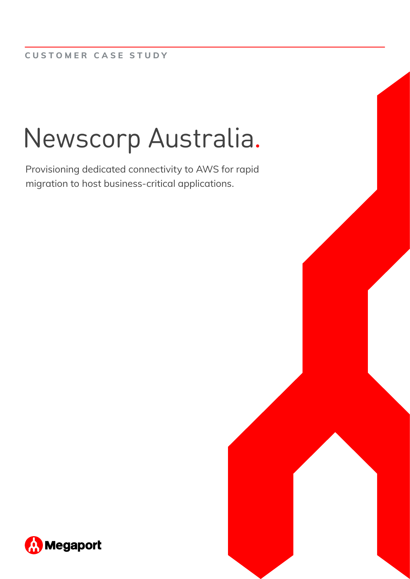# Newscorp Australia.

Provisioning dedicated connectivity to AWS for rapid migration to host business-critical applications.

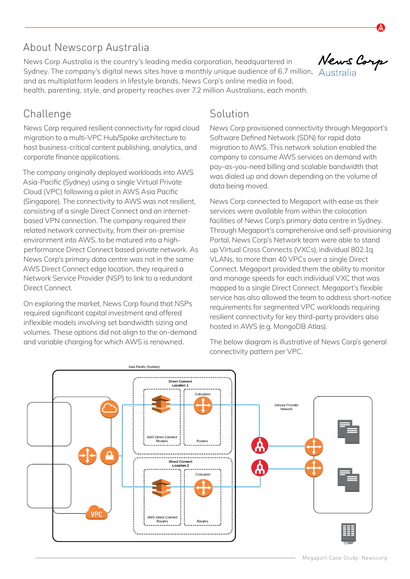### About Newscorp Australia

News Corp Australia is the country's leading media corporation, headquartered in Sydney. The company's digital news sites have a monthly unique audience of 6.7 million, Australia and as multiplatform leaders in lifestyle brands, News Corp's online media in food, health, parenting, style, and property reaches over 7.2 million Australians, each month.

## News Corp

#### Challenge

News Corp required resilient connectivity for rapid cloud migration to a multi-VPC Hub/Spoke architecture to host business-critical content publishing, analytics, and corporate finance applications.

The company originally deployed workloads into AWS Asia-Pacific (Sydney) using a single Virtual Private Cloud (VPC) following a pilot in AWS Asia Pacific (Singapore). The connectivity to AWS was not resilient, consisting of a single Direct Connect and an internetbased VPN connection. The company required their related network connectivity, from their on-premise environment into AWS, to be matured into a highperformance Direct Connect based private network. As News Corp's primary data centre was not in the same AWS Direct Connect edge location, they required a Network Service Provider (NSP) to link to a redundant Direct Connect.

On exploring the market, News Corp found that NSPs required significant capital investment and offered inflexible models involving set bandwidth sizing and volumes. These options did not align to the on-demand and variable charging for which AWS is renowned.

#### Solution

News Corp provisioned connectivity through Megaport's Software Defined Network (SDN) for rapid data migration to AWS. This network solution enabled the company to consume AWS services on demand with pay-as-you-need billing and scalable bandwidth that was dialed up and down depending on the volume of data being moved.

News Corp connected to Megaport with ease as their services were available from within the colocation facilities of News Corp's primary data centre in Sydney. Through Megaport's comprehensive and self-provisioning Portal, News Corp's Network team were able to stand up Virtual Cross Connects (VXCs), individual 802.1q VLANs, to more than 40 VPCs over a single Direct Connect. Megaport provided them the ability to monitor and manage speeds for each individual VXC that was mapped to a single Direct Connect. Megaport's flexible service has also allowed the team to address short-notice requirements for segmented VPC workloads requiring resilient connectivity for key third-party providers also hosted in AWS (e.g. MongoDB Atlas).

The below diagram is illustrative of News Corp's general connectivity pattern per VPC.

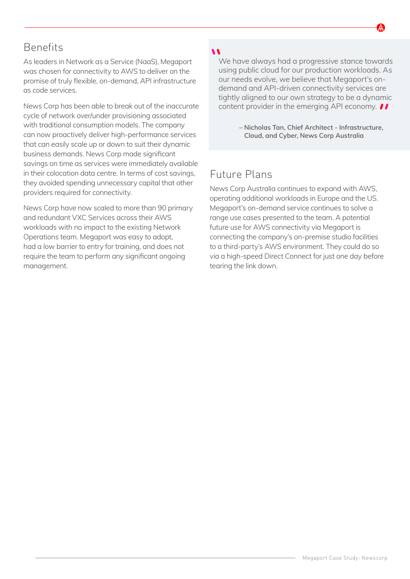#### Benefits

As leaders in Network as a Service (NaaS), Megaport was chosen for connectivity to AWS to deliver on the promise of truly flexible, on-demand, API infrastructure as code services.

News Corp has been able to break out of the inaccurate cycle of network over/under provisioning associated with traditional consumption models. The company can now proactively deliver high-performance services that can easily scale up or down to suit their dynamic business demands. News Corp made significant savings on time as services were immediately available in their colocation data centre. In terms of cost savings, they avoided spending unnecessary capital that other providers required for connectivity.

News Corp have now scaled to more than 90 primary and redundant VXC Services across their AWS workloads with no impact to the existing Network Operations team. Megaport was easy to adopt, had a low barrier to entry for training, and does not require the team to perform any significant ongoing management.

#### 

We have always had a progressive stance towards using public cloud for our production workloads. As our needs evolve, we believe that Megaport's ondemand and API-driven connectivity services are tightly aligned to our own strategy to be a dynamic content provider in the emerging API economy.  $\bullet\bullet$ 

> **– Nicholas Tan, Chief Architect - Infrastructure, Cloud, and Cyber, News Corp Australia**

#### Future Plans

News Corp Australia continues to expand with AWS, operating additional workloads in Europe and the US. Megaport's on-demand service continues to solve a range use cases presented to the team. A potential future use for AWS connectivity via Megaport is connecting the company's on-premise studio facilities to a third-party's AWS environment. They could do so via a high-speed Direct Connect for just one day before tearing the link down.